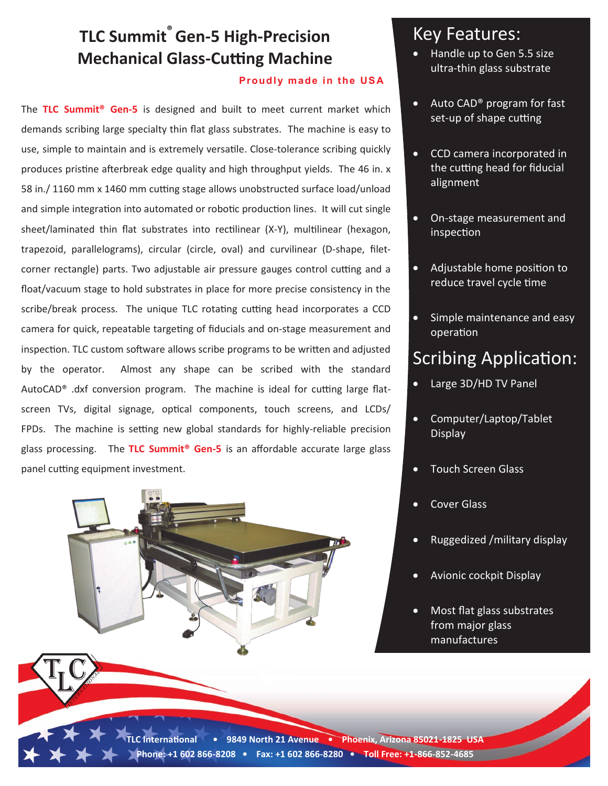# **TLC Summit® Gen-5 High-Precision Mechanical Glass-Cutting Machine**

#### **Proudly made in the US A**

The **TLC Summit® Gen-5** is designed and built to meet current market which demands scribing large specialty thin flat glass substrates. The machine is easy to use, simple to maintain and is extremely versatile. Close-tolerance scribing quickly produces pristine afterbreak edge quality and high throughput yields. The 46 in. x 58 in./ 1160 mm x 1460 mm cutting stage allows unobstructed surface load/unload and simple integration into automated or robotic production lines. It will cut single sheet/laminated thin flat substrates into rectilinear (X-Y), multilinear (hexagon, trapezoid, parallelograms), circular (circle, oval) and curvilinear (D-shape, filetcorner rectangle) parts. Two adjustable air pressure gauges control cutting and a float/vacuum stage to hold substrates in place for more precise consistency in the scribe/break process. The unique TLC rotating cutting head incorporates a CCD camera for quick, repeatable targeting of fiducials and on-stage measurement and inspection. TLC custom software allows scribe programs to be written and adjusted by the operator. Almost any shape can be scribed with the standard AutoCAD® .dxf conversion program. The machine is ideal for cutting large flatscreen TVs, digital signage, optical components, touch screens, and LCDs/ FPDs. The machine is setting new global standards for highly-reliable precision glass processing. The **TLC Summit® Gen-5** is an affordable accurate large glass panel cutting equipment investment.



#### Key Features:

- Handle up to Gen 5.5 size ultra-thin glass substrate
- Auto CAD® program for fast set-up of shape cutting
- CCD camera incorporated in the cutting head for fiducial alignment
- On-stage measurement and inspection
- Adjustable home position to reduce travel cycle time
- Simple maintenance and easy operation

### Scribing Application:

- Large 3D/HD TV Panel
- Computer/Laptop/Tablet Display
- Touch Screen Glass
- Cover Glass
- Ruggedized /military display
- Avionic cockpit Display
- Most flat glass substrates from major glass manufactures

**TLC International • 9849 North 21 Avenue • Phoenix, Arizona 85021-1825 USA Phone: +1 602 866-8208 • Fax: +1 602 866-8280 • Toll Free: +1-866-852-4685**